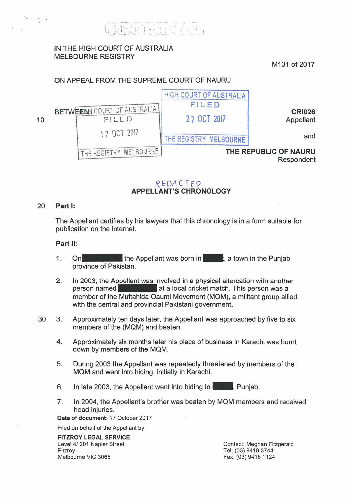$\frac{1}{2}$  ...

# IN THE HIGH COURT OF AUSTRALIA MELBOURNE REGISTRY

M131 of 2017

## ON APPEAL FROM THE SUPREME COURT OF NAURU



### REDACTED APPELLANT'S CHRONOLOGY

#### 20 Part 1:

The Appellant certifies by his lawyers that this chronology is in a form suitable for publication on the internet.

#### Part 11:

- 1. On the Appellant was born in  $\sim$  a town in the Punjab province of Pakistan.
- 2. In 2003, the Appellant was involved in a physical altercation with another person named **at a local cricket match.** This person was a member of the Muttahida Qaumi Movement (MQM), a militant group allied with the central and provincial Pakistani government.
- 30 3. Approximately ten days later, the Appellant was approached by five to six members of the (MQM) and beaten.
	- 4. Approximately six months later his place of business in Karachi was burnt down by members of the MQM.
	- 5. During 2003 the Appellant was repeatedly threatened by members of the MQM and went into hiding, initially in Karachi.
	- 6. In late 2003, the Appellant went into hiding in **France**, Punjab.
	- 7. In 2004, the Appellant's brother was beaten by MQM members and received head injuries.

Date of document: 17 October 2017

Filed on behalf of the Appellant by:

FITZROY LEGAL SERVICE Level 4/ 201 Napier Street Fitzroy Melbourne VIC 3065

Contact: Meghan Fitzgerald Tel: (03) 9419 3744 Fax: (03) 9416 1124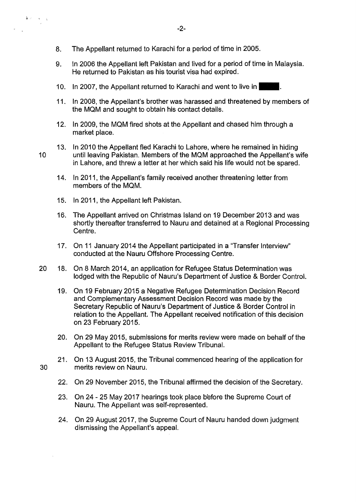- 8. The Appellant returned to Karachi for a period of time in 2005.
- 9. In 2006 the Appellant left Pakistan and lived for a period of time in Malaysia. He returned to Pakistan as his tourist visa had expired.
- 10. In 2007, the Appellant returned to Karachi and went to live in-
- 11. In 2008, the Appellant's brother was harassed and threatened by members of the MQM and sought to obtain his contact details.
- 12. In 2009, the MQM fired shots at the Appellant and chased him through a market place.
- 13. In 2010 the Appellant fled Karachi to Lahore, where he remained in hiding until leaving Pakistan. Members of the MQM approached the Appellant's wife in Lahore, and threw a letter at her which said his life would not be spared.
	- 14. In 2011, the Appellant's family received another threatening letter from members of the MQM.
	- 15. In 2011, the Appellant left Pakistan.
	- 16. The Appellant arrived on Christmas Island on 19 December 2013 and was shortly thereafter transferred to Nauru and detained at a Regional Processing Centre.
	- 17. On 11 January 2014 the Appellant participated in a "Transfer Interview" conducted at the Nauru Offshore Processing Centre.
- 20 18. On 8 March 2014, an application for Refugee Status Determination was lodged with the Republic of Nauru's Department of Justice & Border Control.
	- 19. On 19 February 2015 a Negative Refugee Determination Decision Record and Complementary Assessment Decision Record was made by the Secretary Republic of Nauru's Department of Justice & Border Control in relation to the Appellant. The Appellant received notification of this decision on 23 February 2015.
	- 20. On 29 May 2015, submissions for merits review were made on behalf of the Appellant to the Refugee Status Review Tribunal.
- 21. On 13 August 2015, the Tribunal commenced hearing of the application for 30 merits review on Nauru.
	- 22. On 29 November 2015, the Tribunal affirmed the decision of the Secretary.
	- 23. On 24 25 May 2017 hearings took place before the Supreme Court of Nauru. The Appellant was self-represented.
	- 24. On 29 August 2017, the Supreme Court of Nauru handed down judgment dismissing the Appellant's appeal.

10

 $\frac{1}{\Theta}$  is  $\mathcal{L}=\mathcal{L}=\mathcal{L}$